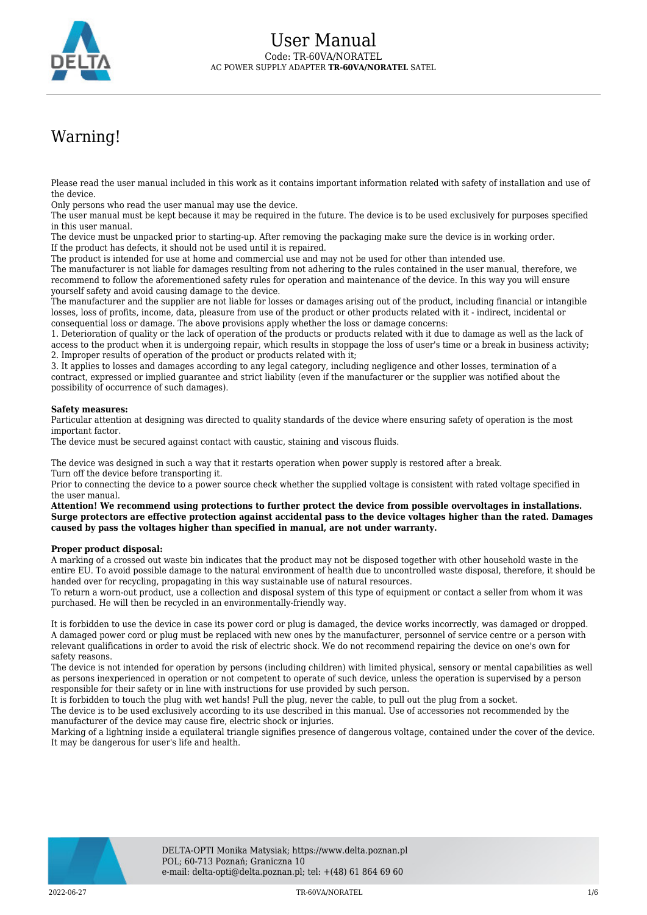

# Warning!

Please read the user manual included in this work as it contains important information related with safety of installation and use of the device.

Only persons who read the user manual may use the device.

The user manual must be kept because it may be required in the future. The device is to be used exclusively for purposes specified in this user manual.

The device must be unpacked prior to starting-up. After removing the packaging make sure the device is in working order. If the product has defects, it should not be used until it is repaired.

The product is intended for use at home and commercial use and may not be used for other than intended use.

The manufacturer is not liable for damages resulting from not adhering to the rules contained in the user manual, therefore, we recommend to follow the aforementioned safety rules for operation and maintenance of the device. In this way you will ensure yourself safety and avoid causing damage to the device.

The manufacturer and the supplier are not liable for losses or damages arising out of the product, including financial or intangible losses, loss of profits, income, data, pleasure from use of the product or other products related with it - indirect, incidental or consequential loss or damage. The above provisions apply whether the loss or damage concerns:

1. Deterioration of quality or the lack of operation of the products or products related with it due to damage as well as the lack of access to the product when it is undergoing repair, which results in stoppage the loss of user's time or a break in business activity; 2. Improper results of operation of the product or products related with it;

3. It applies to losses and damages according to any legal category, including negligence and other losses, termination of a contract, expressed or implied guarantee and strict liability (even if the manufacturer or the supplier was notified about the possibility of occurrence of such damages).

#### **Safety measures:**

Particular attention at designing was directed to quality standards of the device where ensuring safety of operation is the most important factor.

The device must be secured against contact with caustic, staining and viscous fluids.

The device was designed in such a way that it restarts operation when power supply is restored after a break. Turn off the device before transporting it.

Prior to connecting the device to a power source check whether the supplied voltage is consistent with rated voltage specified in the user manual.

**Attention! We recommend using protections to further protect the device from possible overvoltages in installations. Surge protectors are effective protection against accidental pass to the device voltages higher than the rated. Damages caused by pass the voltages higher than specified in manual, are not under warranty.**

#### **Proper product disposal:**

A marking of a crossed out waste bin indicates that the product may not be disposed together with other household waste in the entire EU. To avoid possible damage to the natural environment of health due to uncontrolled waste disposal, therefore, it should be handed over for recycling, propagating in this way sustainable use of natural resources.

To return a worn-out product, use a collection and disposal system of this type of equipment or contact a seller from whom it was purchased. He will then be recycled in an environmentally-friendly way.

It is forbidden to use the device in case its power cord or plug is damaged, the device works incorrectly, was damaged or dropped. A damaged power cord or plug must be replaced with new ones by the manufacturer, personnel of service centre or a person with relevant qualifications in order to avoid the risk of electric shock. We do not recommend repairing the device on one's own for safety reasons.

The device is not intended for operation by persons (including children) with limited physical, sensory or mental capabilities as well as persons inexperienced in operation or not competent to operate of such device, unless the operation is supervised by a person responsible for their safety or in line with instructions for use provided by such person.

It is forbidden to touch the plug with wet hands! Pull the plug, never the cable, to pull out the plug from a socket.

The device is to be used exclusively according to its use described in this manual. Use of accessories not recommended by the manufacturer of the device may cause fire, electric shock or injuries.

Marking of a lightning inside a equilateral triangle signifies presence of dangerous voltage, contained under the cover of the device. It may be dangerous for user's life and health.

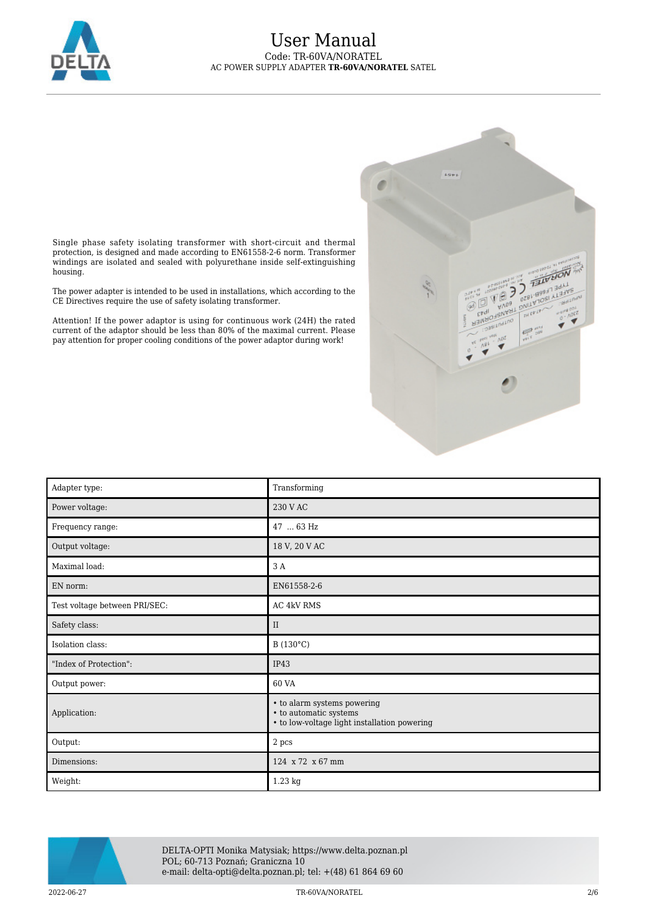



Single phase safety isolating transformer with short-circuit and thermal protection, is designed and made according to EN61558-2-6 norm. Transformer windings are isolated and sealed with polyurethane inside self-extinguishing housing.

The power adapter is intended to be used in installations, which according to the CE Directives require the use of safety isolating transformer.

Attention! If the power adaptor is using for continuous work (24H) the rated current of the adaptor should be less than 80% of the maximal current. Please pay attention for proper cooling conditions of the power adaptor during work!

| Adapter type:                 | Transforming                                                                                          |
|-------------------------------|-------------------------------------------------------------------------------------------------------|
| Power voltage:                | 230 V AC                                                                                              |
| Frequency range:              | 47  63 Hz                                                                                             |
| Output voltage:               | 18 V, 20 V AC                                                                                         |
| Maximal load:                 | 3 A                                                                                                   |
| EN norm:                      | EN61558-2-6                                                                                           |
| Test voltage between PRI/SEC: | AC 4kV RMS                                                                                            |
| Safety class:                 | $\rm II$                                                                                              |
| Isolation class:              | B (130°C)                                                                                             |
| "Index of Protection":        | IP43                                                                                                  |
| Output power:                 | 60 VA                                                                                                 |
| Application:                  | • to alarm systems powering<br>• to automatic systems<br>• to low-voltage light installation powering |
| Output:                       | 2 pcs                                                                                                 |
| Dimensions:                   | 124 x 72 x 67 mm                                                                                      |
| Weight:                       | 1.23 kg                                                                                               |



DELTA-OPTI Monika Matysiak; https://www.delta.poznan.pl POL; 60-713 Poznań; Graniczna 10 e-mail: delta-opti@delta.poznan.pl; tel: +(48) 61 864 69 60

2022-06-27 TR-60VA/NORATEL 2/6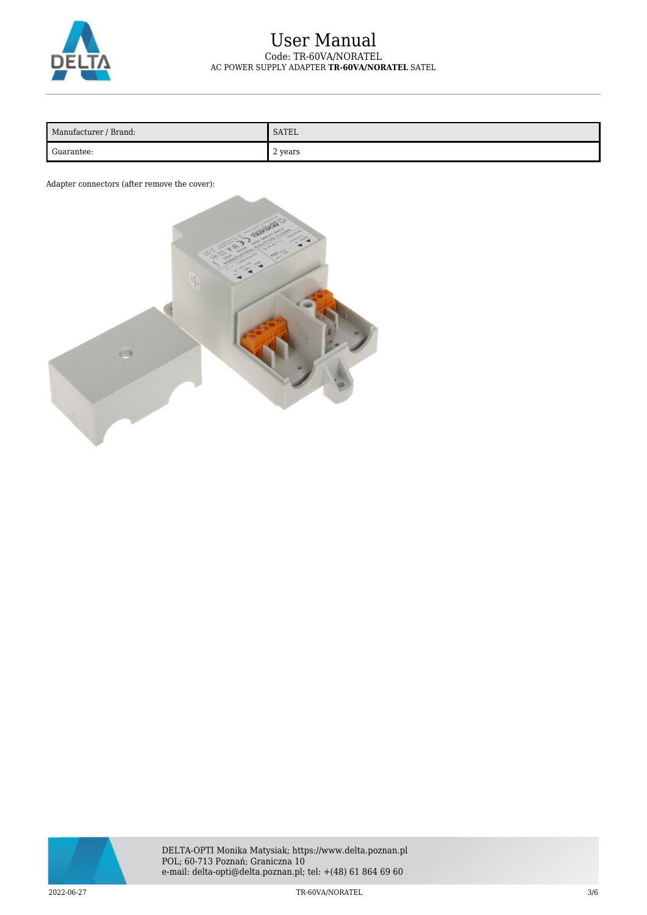

| Manufacturer / Brand: | SATEL     |
|-----------------------|-----------|
| Guarantee:            | , 2 years |

Adapter connectors (after remove the cover):



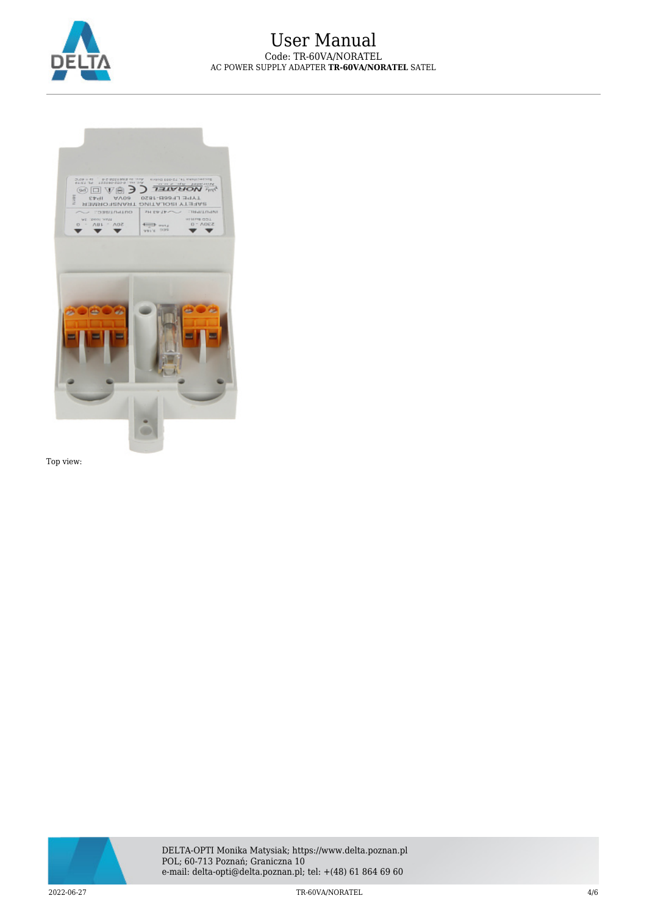



Top view:

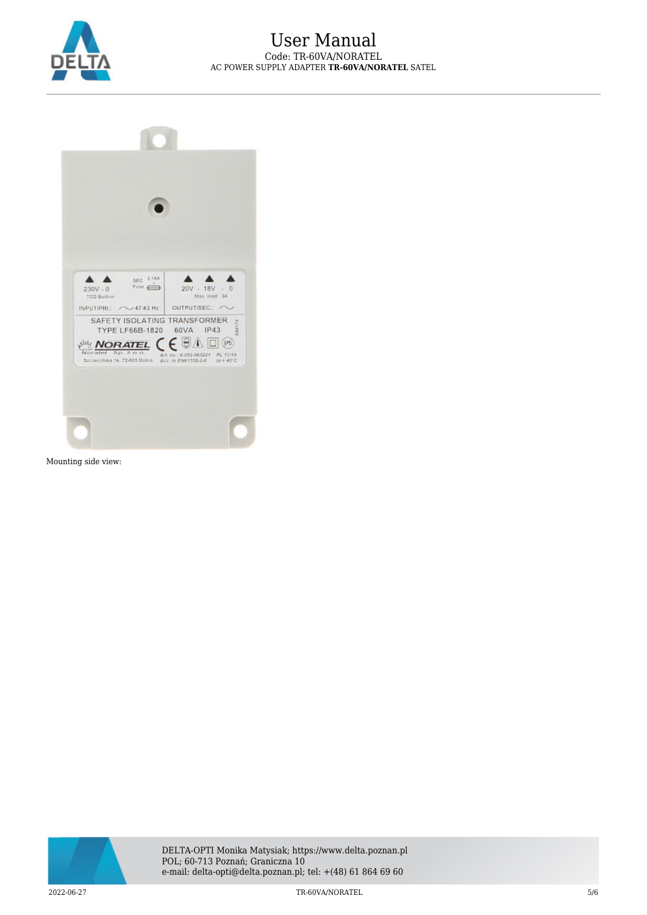

| $230V - 0$<br><b>TCO Built-in</b> | SEC 3.16A<br>Fuse 4            | $20V - 18V - 0$<br>Max. load: 3A                                                                                      |  |
|-----------------------------------|--------------------------------|-----------------------------------------------------------------------------------------------------------------------|--|
| INPUTIPRI: <> 47-63 Hz            |                                | OUTPUT/SEC.:<br>SAFETY ISOLATING TRANSFORMER<br>34917<br>TYPE LF66B-1820 60VA IP43                                    |  |
| Noratel Sp. 2                     | NORATEL $\zeta \in \mathbb{R}$ | $\Lambda$ $\Box$ $96$<br>Art.no.: 8-052-060221 PL 12/19<br>Seczecińska 1k, 72-003 Dobra Acc. to EN61558-2-6 ta = 40°C |  |

Mounting side view: